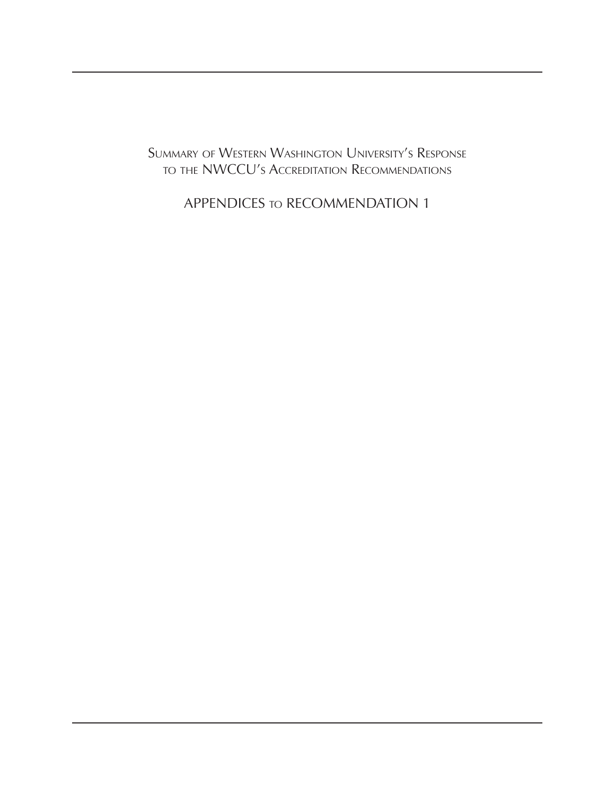Summary of Western Washington University's Response to the NWCCU's Accreditation Recommendations

APPENDICES to RECOMMENDATION 1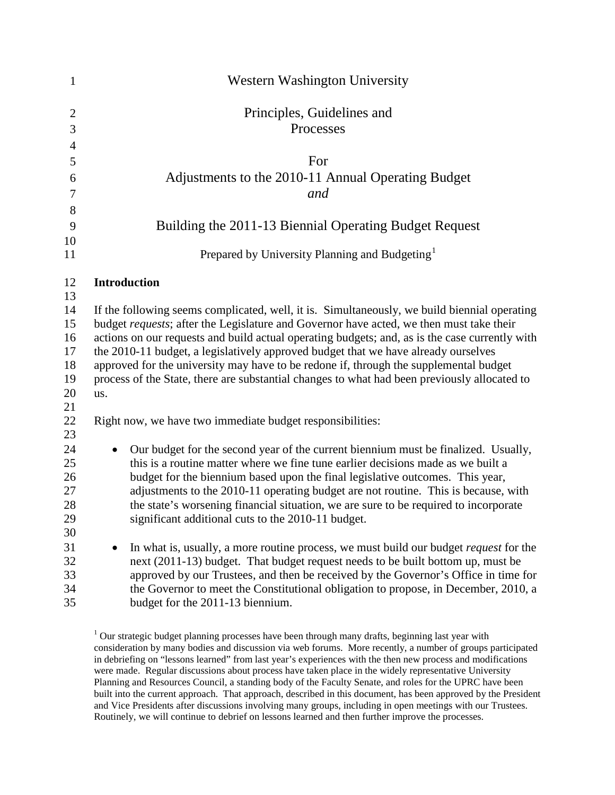| $\mathbf{1}$   | <b>Western Washington University</b>                                                                                                                                                 |
|----------------|--------------------------------------------------------------------------------------------------------------------------------------------------------------------------------------|
| $\overline{2}$ | Principles, Guidelines and                                                                                                                                                           |
| 3              | Processes                                                                                                                                                                            |
| $\overline{4}$ |                                                                                                                                                                                      |
| 5              | For                                                                                                                                                                                  |
| 6              | Adjustments to the 2010-11 Annual Operating Budget                                                                                                                                   |
| 7              | and                                                                                                                                                                                  |
| 8              |                                                                                                                                                                                      |
| 9              | Building the 2011-13 Biennial Operating Budget Request                                                                                                                               |
| 10             |                                                                                                                                                                                      |
| 11             | Prepared by University Planning and Budgeting <sup>1</sup>                                                                                                                           |
| 12             | <b>Introduction</b>                                                                                                                                                                  |
| 13             |                                                                                                                                                                                      |
| 14             | If the following seems complicated, well, it is. Simultaneously, we build biennial operating                                                                                         |
| 15             | budget requests; after the Legislature and Governor have acted, we then must take their                                                                                              |
| 16<br>17       | actions on our requests and build actual operating budgets; and, as is the case currently with<br>the 2010-11 budget, a legislatively approved budget that we have already ourselves |
| 18             | approved for the university may have to be redone if, through the supplemental budget                                                                                                |
| 19             | process of the State, there are substantial changes to what had been previously allocated to                                                                                         |
| 20             | us.                                                                                                                                                                                  |
| 21             |                                                                                                                                                                                      |
| 22             | Right now, we have two immediate budget responsibilities:                                                                                                                            |
| 23             |                                                                                                                                                                                      |
| 24             | Our budget for the second year of the current biennium must be finalized. Usually,                                                                                                   |
| 25<br>26       | this is a routine matter where we fine tune earlier decisions made as we built a<br>budget for the biennium based upon the final legislative outcomes. This year,                    |
| 27             | adjustments to the 2010-11 operating budget are not routine. This is because, with                                                                                                   |
| 28             | the state's worsening financial situation, we are sure to be required to incorporate                                                                                                 |
| 29             | significant additional cuts to the 2010-11 budget.                                                                                                                                   |
| 30             |                                                                                                                                                                                      |
| 31             | In what is, usually, a more routine process, we must build our budget <i>request</i> for the                                                                                         |
| 32             | next (2011-13) budget. That budget request needs to be built bottom up, must be                                                                                                      |
| 33             | approved by our Trustees, and then be received by the Governor's Office in time for                                                                                                  |
| 34<br>35       | the Governor to meet the Constitutional obligation to propose, in December, 2010, a<br>budget for the 2011-13 biennium.                                                              |
|                |                                                                                                                                                                                      |

<span id="page-1-0"></span> $1$  Our strategic budget planning processes have been through many drafts, beginning last year with consideration by many bodies and discussion via web forums. More recently, a number of groups participated in debriefing on "lessons learned" from last year's experiences with the then new process and modifications were made. Regular discussions about process have taken place in the widely representative University Planning and Resources Council, a standing body of the Faculty Senate, and roles for the UPRC have been built into the current approach. That approach, described in this document, has been approved by the President and Vice Presidents after discussions involving many groups, including in open meetings with our Trustees. Routinely, we will continue to debrief on lessons learned and then further improve the processes.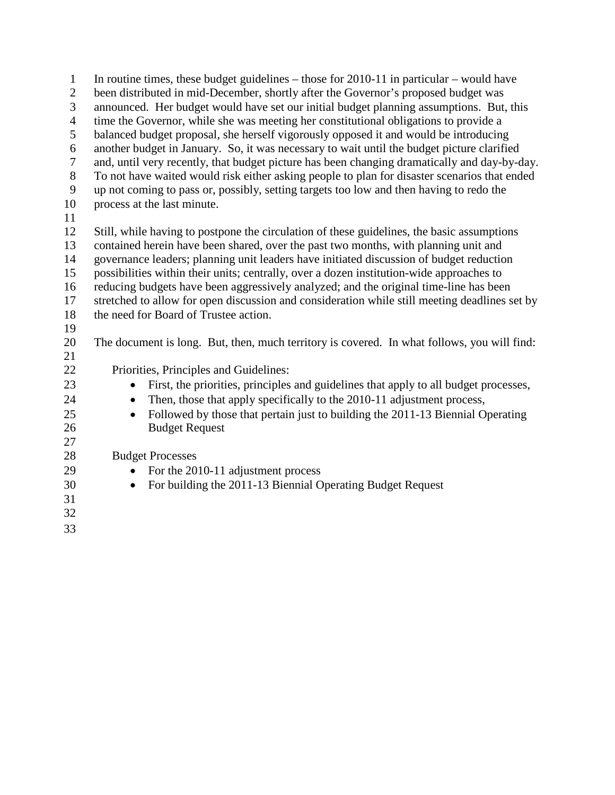1 In routine times, these budget guidelines – those for 2010-11 in particular – would have 2 been distributed in mid-December, shortly after the Governor's proposed budget was 3 announced. Her budget would have set our initial budget planning assumptions. But, this 4 time the Governor, while she was meeting her constitutional obligations to provide a 5 balanced budget proposal, she herself vigorously opposed it and would be introducing 6 another budget in January. So, it was necessary to wait until the budget picture clarified 7 and, until very recently, that budget picture has been changing dramatically and day-by-day. 8 To not have waited would risk either asking people to plan for disaster scenarios that ended 9 up not coming to pass or, possibly, setting targets too low and then having to redo the 10 process at the last minute. 11 12 Still, while having to postpone the circulation of these guidelines, the basic assumptions 13 contained herein have been shared, over the past two months, with planning unit and 14 governance leaders; planning unit leaders have initiated discussion of budget reduction 15 possibilities within their units; centrally, over a dozen institution-wide approaches to 16 reducing budgets have been aggressively analyzed; and the original time-line has been 17 stretched to allow for open discussion and consideration while still meeting deadlines set by 18 the need for Board of Trustee action. 19 20 The document is long. But, then, much territory is covered. In what follows, you will find: 21 22 Priorities, Principles and Guidelines: 23 • First, the priorities, principles and guidelines that apply to all budget processes, 24 • Then, those that apply specifically to the 2010-11 adjustment process, 25 • Followed by those that pertain just to building the 2011-13 Biennial Operating 26 Budget Request 27 28 Budget Processes 29 • For the 2010-11 adjustment process 30 • For building the 2011-13 Biennial Operating Budget Request 31 32 33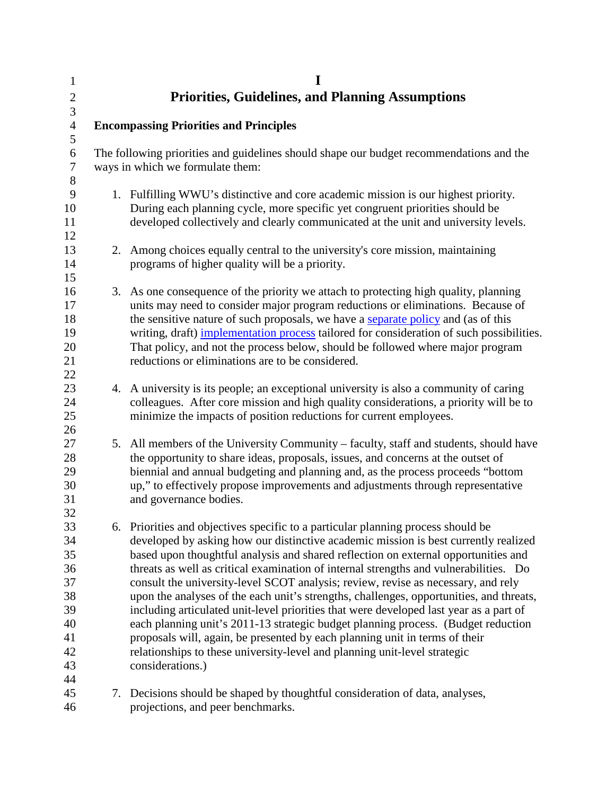| $\mathbf{1}$<br>$\overline{c}$<br>3                                  |    | I<br><b>Priorities, Guidelines, and Planning Assumptions</b>                                                                                                                                                                                                                                                                                                                                                                                                                                                                                                                                                                                                                                                                                                                                                                                                                                          |
|----------------------------------------------------------------------|----|-------------------------------------------------------------------------------------------------------------------------------------------------------------------------------------------------------------------------------------------------------------------------------------------------------------------------------------------------------------------------------------------------------------------------------------------------------------------------------------------------------------------------------------------------------------------------------------------------------------------------------------------------------------------------------------------------------------------------------------------------------------------------------------------------------------------------------------------------------------------------------------------------------|
| $\overline{4}$<br>$\mathfrak{S}$                                     |    | <b>Encompassing Priorities and Principles</b>                                                                                                                                                                                                                                                                                                                                                                                                                                                                                                                                                                                                                                                                                                                                                                                                                                                         |
| 6<br>7<br>$8\,$                                                      |    | The following priorities and guidelines should shape our budget recommendations and the<br>ways in which we formulate them:                                                                                                                                                                                                                                                                                                                                                                                                                                                                                                                                                                                                                                                                                                                                                                           |
| 9<br>10<br>11<br>12                                                  |    | 1. Fulfilling WWU's distinctive and core academic mission is our highest priority.<br>During each planning cycle, more specific yet congruent priorities should be<br>developed collectively and clearly communicated at the unit and university levels.                                                                                                                                                                                                                                                                                                                                                                                                                                                                                                                                                                                                                                              |
| 13<br>14<br>15                                                       | 2. | Among choices equally central to the university's core mission, maintaining<br>programs of higher quality will be a priority.                                                                                                                                                                                                                                                                                                                                                                                                                                                                                                                                                                                                                                                                                                                                                                         |
| 16<br>17<br>18<br>19<br>20<br>21<br>22                               |    | 3. As one consequence of the priority we attach to protecting high quality, planning<br>units may need to consider major program reductions or eliminations. Because of<br>the sensitive nature of such proposals, we have a separate policy and (as of this<br>writing, draft) implementation process tailored for consideration of such possibilities.<br>That policy, and not the process below, should be followed where major program<br>reductions or eliminations are to be considered.                                                                                                                                                                                                                                                                                                                                                                                                        |
| 23<br>24<br>25<br>26                                                 |    | 4. A university is its people; an exceptional university is also a community of caring<br>colleagues. After core mission and high quality considerations, a priority will be to<br>minimize the impacts of position reductions for current employees.                                                                                                                                                                                                                                                                                                                                                                                                                                                                                                                                                                                                                                                 |
| 27<br>28<br>29<br>30<br>31<br>32                                     |    | 5. All members of the University Community – faculty, staff and students, should have<br>the opportunity to share ideas, proposals, issues, and concerns at the outset of<br>biennial and annual budgeting and planning and, as the process proceeds "bottom<br>up," to effectively propose improvements and adjustments through representative<br>and governance bodies.                                                                                                                                                                                                                                                                                                                                                                                                                                                                                                                             |
| 33<br>34<br>35<br>36<br>37<br>38<br>39<br>40<br>41<br>42<br>43<br>44 |    | 6. Priorities and objectives specific to a particular planning process should be<br>developed by asking how our distinctive academic mission is best currently realized<br>based upon thoughtful analysis and shared reflection on external opportunities and<br>threats as well as critical examination of internal strengths and vulnerabilities. Do<br>consult the university-level SCOT analysis; review, revise as necessary, and rely<br>upon the analyses of the each unit's strengths, challenges, opportunities, and threats,<br>including articulated unit-level priorities that were developed last year as a part of<br>each planning unit's 2011-13 strategic budget planning process. (Budget reduction<br>proposals will, again, be presented by each planning unit in terms of their<br>relationships to these university-level and planning unit-level strategic<br>considerations.) |
| 45<br>46                                                             |    | 7. Decisions should be shaped by thoughtful consideration of data, analyses,<br>projections, and peer benchmarks.                                                                                                                                                                                                                                                                                                                                                                                                                                                                                                                                                                                                                                                                                                                                                                                     |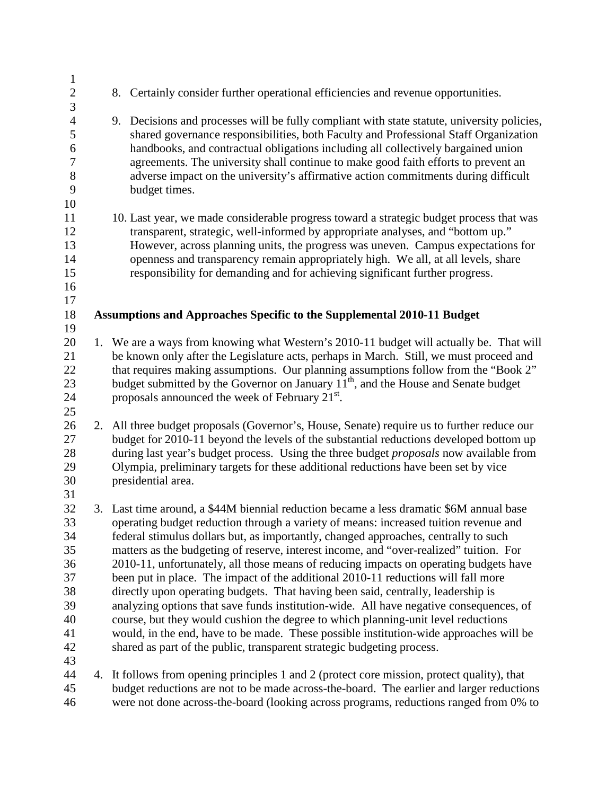| $\mathbf{1}$     |    |                                                                                                                                                                                       |
|------------------|----|---------------------------------------------------------------------------------------------------------------------------------------------------------------------------------------|
| $\overline{c}$   |    | 8. Certainly consider further operational efficiencies and revenue opportunities.                                                                                                     |
| 3                |    |                                                                                                                                                                                       |
| $\overline{4}$   |    | 9. Decisions and processes will be fully compliant with state statute, university policies,                                                                                           |
| 5                |    | shared governance responsibilities, both Faculty and Professional Staff Organization                                                                                                  |
| 6                |    | handbooks, and contractual obligations including all collectively bargained union                                                                                                     |
| $\boldsymbol{7}$ |    | agreements. The university shall continue to make good faith efforts to prevent an                                                                                                    |
| $8\,$            |    | adverse impact on the university's affirmative action commitments during difficult                                                                                                    |
| 9                |    | budget times.                                                                                                                                                                         |
| 10               |    |                                                                                                                                                                                       |
| 11               |    | 10. Last year, we made considerable progress toward a strategic budget process that was                                                                                               |
| 12               |    | transparent, strategic, well-informed by appropriate analyses, and "bottom up."                                                                                                       |
| 13               |    | However, across planning units, the progress was uneven. Campus expectations for                                                                                                      |
| 14               |    | openness and transparency remain appropriately high. We all, at all levels, share                                                                                                     |
| 15               |    | responsibility for demanding and for achieving significant further progress.                                                                                                          |
| 16               |    |                                                                                                                                                                                       |
| 17               |    |                                                                                                                                                                                       |
| 18               |    | Assumptions and Approaches Specific to the Supplemental 2010-11 Budget                                                                                                                |
| 19               |    |                                                                                                                                                                                       |
| 20<br>21         |    | 1. We are a ways from knowing what Western's 2010-11 budget will actually be. That will                                                                                               |
|                  |    | be known only after the Legislature acts, perhaps in March. Still, we must proceed and                                                                                                |
| 22<br>23         |    | that requires making assumptions. Our planning assumptions follow from the "Book 2"<br>budget submitted by the Governor on January 11 <sup>th</sup> , and the House and Senate budget |
| 24               |    | proposals announced the week of February 21 <sup>st</sup> .                                                                                                                           |
| 25               |    |                                                                                                                                                                                       |
| 26               | 2. | All three budget proposals (Governor's, House, Senate) require us to further reduce our                                                                                               |
| 27               |    | budget for 2010-11 beyond the levels of the substantial reductions developed bottom up                                                                                                |
| 28               |    | during last year's budget process. Using the three budget <i>proposals</i> now available from                                                                                         |
| 29               |    | Olympia, preliminary targets for these additional reductions have been set by vice                                                                                                    |
| 30               |    | presidential area.                                                                                                                                                                    |
| 31               |    |                                                                                                                                                                                       |
| 32               |    | 3. Last time around, a \$44M biennial reduction became a less dramatic \$6M annual base                                                                                               |
| 33               |    | operating budget reduction through a variety of means: increased tuition revenue and                                                                                                  |
| 34               |    | federal stimulus dollars but, as importantly, changed approaches, centrally to such                                                                                                   |
| 35               |    | matters as the budgeting of reserve, interest income, and "over-realized" tuition. For                                                                                                |
| 36               |    | 2010-11, unfortunately, all those means of reducing impacts on operating budgets have                                                                                                 |
| 37               |    | been put in place. The impact of the additional 2010-11 reductions will fall more                                                                                                     |
| 38               |    | directly upon operating budgets. That having been said, centrally, leadership is                                                                                                      |
| 39               |    | analyzing options that save funds institution-wide. All have negative consequences, of                                                                                                |
| 40               |    | course, but they would cushion the degree to which planning-unit level reductions                                                                                                     |
| 41               |    | would, in the end, have to be made. These possible institution-wide approaches will be                                                                                                |
| 42               |    | shared as part of the public, transparent strategic budgeting process.                                                                                                                |
| 43               |    |                                                                                                                                                                                       |
| 44               |    | 4. It follows from opening principles 1 and 2 (protect core mission, protect quality), that                                                                                           |
| 45               |    | budget reductions are not to be made across-the-board. The earlier and larger reductions                                                                                              |
| 46               |    | were not done across-the-board (looking across programs, reductions ranged from 0% to                                                                                                 |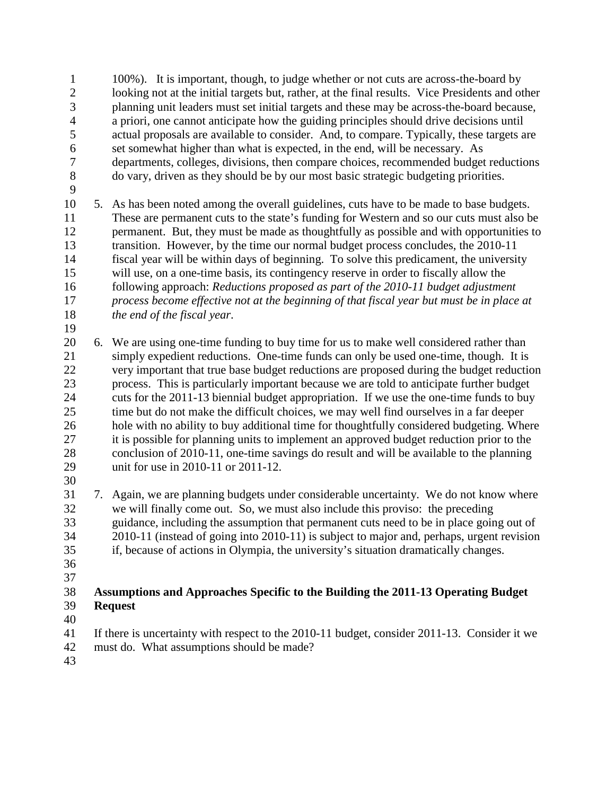1 100%). It is important, though, to judge whether or not cuts are across-the-board by 2 looking not at the initial targets but, rather, at the final results. Vice Presidents and other 3 planning unit leaders must set initial targets and these may be across-the-board because, 4 a priori, one cannot anticipate how the guiding principles should drive decisions until 5 actual proposals are available to consider. And, to compare. Typically, these targets are 6 set somewhat higher than what is expected, in the end, will be necessary. As 7 departments, colleges, divisions, then compare choices, recommended budget reductions 8 do vary, driven as they should be by our most basic strategic budgeting priorities.

9

19

10 5. As has been noted among the overall guidelines, cuts have to be made to base budgets. 11 These are permanent cuts to the state's funding for Western and so our cuts must also be 12 permanent. But, they must be made as thoughtfully as possible and with opportunities to 13 transition. However, by the time our normal budget process concludes, the 2010-11 14 fiscal year will be within days of beginning. To solve this predicament, the university 15 will use, on a one-time basis, its contingency reserve in order to fiscally allow the 16 following approach: *Reductions proposed as part of the 2010-11 budget adjustment*  17 *process become effective not at the beginning of that fiscal year but must be in place at*  18 *the end of the fiscal year*.

20 6. We are using one-time funding to buy time for us to make well considered rather than 21 simply expedient reductions. One-time funds can only be used one-time, though. It is 22 very important that true base budget reductions are proposed during the budget reduction 23 process. This is particularly important because we are told to anticipate further budget 24 cuts for the 2011-13 biennial budget appropriation. If we use the one-time funds to buy 25 time but do not make the difficult choices, we may well find ourselves in a far deeper 26 hole with no ability to buy additional time for thoughtfully considered budgeting. Where 27 it is possible for planning units to implement an approved budget reduction prior to the 28 conclusion of 2010-11, one-time savings do result and will be available to the planning 29 unit for use in 2010-11 or 2011-12.

30

31 7. Again, we are planning budgets under considerable uncertainty. We do not know where<br>32 we will finally come out. So, we must also include this proviso: the preceding we will finally come out. So, we must also include this proviso: the preceding 33 guidance, including the assumption that permanent cuts need to be in place going out of 34 2010-11 (instead of going into 2010-11) is subject to major and, perhaps, urgent revision 35 if, because of actions in Olympia, the university's situation dramatically changes.

 36 37

## 38 **Assumptions and Approaches Specific to the Building the 2011-13 Operating Budget**  39 **Request**

- 40
- 41 If there is uncertainty with respect to the 2010-11 budget, consider 2011-13. Consider it we
- 42 must do. What assumptions should be made?
- 43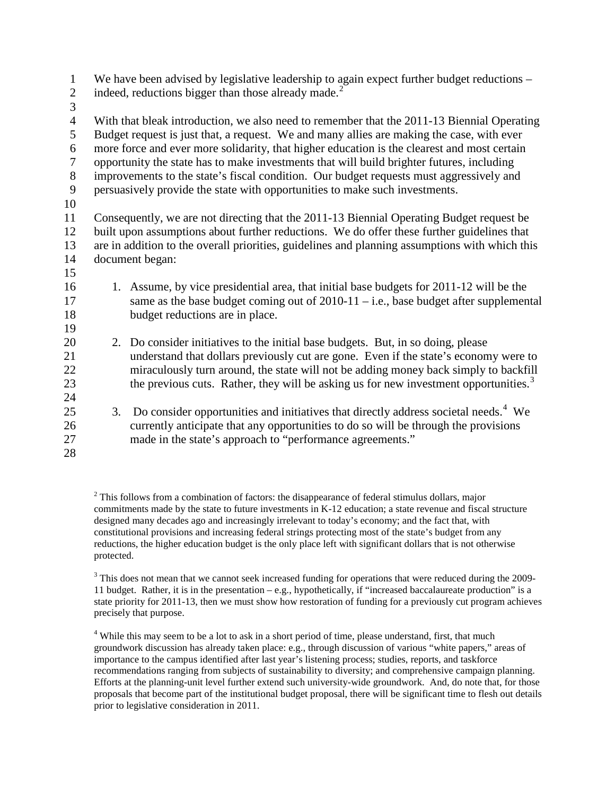1 We have been advised by legislative leadership to again expect further budget reductions – indeed, reductions bigger than those already made.<sup>[2](#page-6-0)</sup> 16 1. Assume, by vice presidential area, that initial base budgets for 2011-12 will be the 17 same as the base budget coming out of 2010-11 – i.e., base budget after supplemental 18 budget reductions are in place. 2 3 4 With that bleak introduction, we also need to remember that the 2011-13 Biennial Operating 5 Budget request is just that, a request. We and many allies are making the case, with ever 6 more force and ever more solidarity, that higher education is the clearest and most certain 7 opportunity the state has to make investments that will build brighter futures, including 8 improvements to the state's fiscal condition. Our budget requests must aggressively and 9 persuasively provide the state with opportunities to make such investments. 10 11 Consequently, we are not directing that the 2011-13 Biennial Operating Budget request be 12 built upon assumptions about further reductions. We do offer these further guidelines that 13 are in addition to the overall priorities, guidelines and planning assumptions with which this 14 document began: 15 19 20 2. Do consider initiatives to the initial base budgets. But, in so doing, please 21 understand that dollars previously cut are gone. Even if the state's economy were to 22 miraculously turn around, the state will not be adding money back simply to backfill the previous cuts. Rather, they will be asking us for new investment opportunities.<sup>[3](#page-6-1)</sup> 24 23 25 3. Do consider opportunities and initiatives that directly address societal needs.<sup>[4](#page-6-2)</sup> We 28 26 currently anticipate that any opportunities to do so will be through the provisions 27 made in the state's approach to "performance agreements."

<span id="page-6-0"></span> $2$  This follows from a combination of factors: the disappearance of federal stimulus dollars, major commitments made by the state to future investments in K-12 education; a state revenue and fiscal structure designed many decades ago and increasingly irrelevant to today's economy; and the fact that, with constitutional provisions and increasing federal strings protecting most of the state's budget from any reductions, the higher education budget is the only place left with significant dollars that is not otherwise protected.

<span id="page-6-1"></span><sup>3</sup> This does not mean that we cannot seek increased funding for operations that were reduced during the 2009-11 budget. Rather, it is in the presentation – e.g., hypothetically, if "increased baccalaureate production" is a state priority for 2011-13, then we must show how restoration of funding for a previously cut program achieves precisely that purpose.

<span id="page-6-2"></span><sup>4</sup> While this may seem to be a lot to ask in a short period of time, please understand, first, that much groundwork discussion has already taken place: e.g., through discussion of various "white papers," areas of importance to the campus identified after last year's listening process; studies, reports, and taskforce recommendations ranging from subjects of sustainability to diversity; and comprehensive campaign planning. Efforts at the planning-unit level further extend such university-wide groundwork. And, do note that, for those proposals that become part of the institutional budget proposal, there will be significant time to flesh out details prior to legislative consideration in 2011.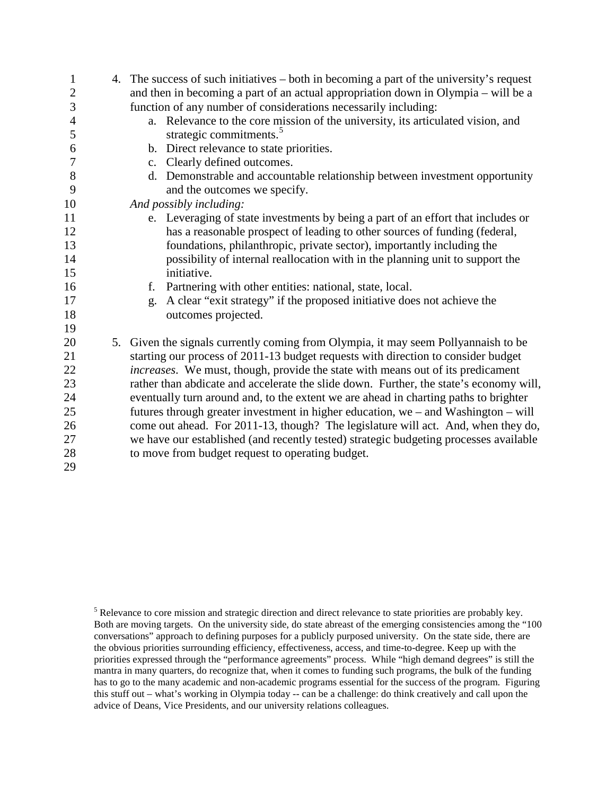| 1                | 4. The success of such initiatives – both in becoming a part of the university's request |  |  |  |
|------------------|------------------------------------------------------------------------------------------|--|--|--|
| $\overline{2}$   | and then in becoming a part of an actual appropriation down in Olympia – will be a       |  |  |  |
| 3                | function of any number of considerations necessarily including:                          |  |  |  |
| $\overline{4}$   | a. Relevance to the core mission of the university, its articulated vision, and          |  |  |  |
| 5                | strategic commitments. <sup>5</sup>                                                      |  |  |  |
| 6                | b. Direct relevance to state priorities.                                                 |  |  |  |
| $\boldsymbol{7}$ | c. Clearly defined outcomes.                                                             |  |  |  |
| 8                | d. Demonstrable and accountable relationship between investment opportunity              |  |  |  |
| 9                | and the outcomes we specify.                                                             |  |  |  |
| 10               | And possibly including:                                                                  |  |  |  |
| 11               | e. Leveraging of state investments by being a part of an effort that includes or         |  |  |  |
| 12               | has a reasonable prospect of leading to other sources of funding (federal,               |  |  |  |
| 13               | foundations, philanthropic, private sector), importantly including the                   |  |  |  |
| 14               | possibility of internal reallocation with in the planning unit to support the            |  |  |  |
| 15               | initiative.                                                                              |  |  |  |
| 16               | Partnering with other entities: national, state, local.<br>f.                            |  |  |  |
| 17               | A clear "exit strategy" if the proposed initiative does not achieve the<br>g.            |  |  |  |
| 18               | outcomes projected.                                                                      |  |  |  |
| 19               |                                                                                          |  |  |  |
| 20               | 5. Given the signals currently coming from Olympia, it may seem Pollyannaish to be       |  |  |  |
| 21               | starting our process of 2011-13 budget requests with direction to consider budget        |  |  |  |
| 22               | increases. We must, though, provide the state with means out of its predicament          |  |  |  |
| 23               | rather than abdicate and accelerate the slide down. Further, the state's economy will,   |  |  |  |
| 24               | eventually turn around and, to the extent we are ahead in charting paths to brighter     |  |  |  |
| 25               | futures through greater investment in higher education, we $-$ and Washington $-$ will   |  |  |  |
| 26               | come out ahead. For 2011-13, though? The legislature will act. And, when they do,        |  |  |  |
| 27               | we have our established (and recently tested) strategic budgeting processes available    |  |  |  |
| 28               | to move from budget request to operating budget.                                         |  |  |  |
| 29               |                                                                                          |  |  |  |

<span id="page-7-0"></span><sup>&</sup>lt;sup>5</sup> Relevance to core mission and strategic direction and direct relevance to state priorities are probably key. Both are moving targets. On the university side, do state abreast of the emerging consistencies among the "100 conversations" approach to defining purposes for a publicly purposed university. On the state side, there are the obvious priorities surrounding efficiency, effectiveness, access, and time-to-degree. Keep up with the priorities expressed through the "performance agreements" process. While "high demand degrees" is still the mantra in many quarters, do recognize that, when it comes to funding such programs, the bulk of the funding has to go to the many academic and non-academic programs essential for the success of the program. Figuring this stuff out – what's working in Olympia today -- can be a challenge: do think creatively and call upon the advice of Deans, Vice Presidents, and our university relations colleagues.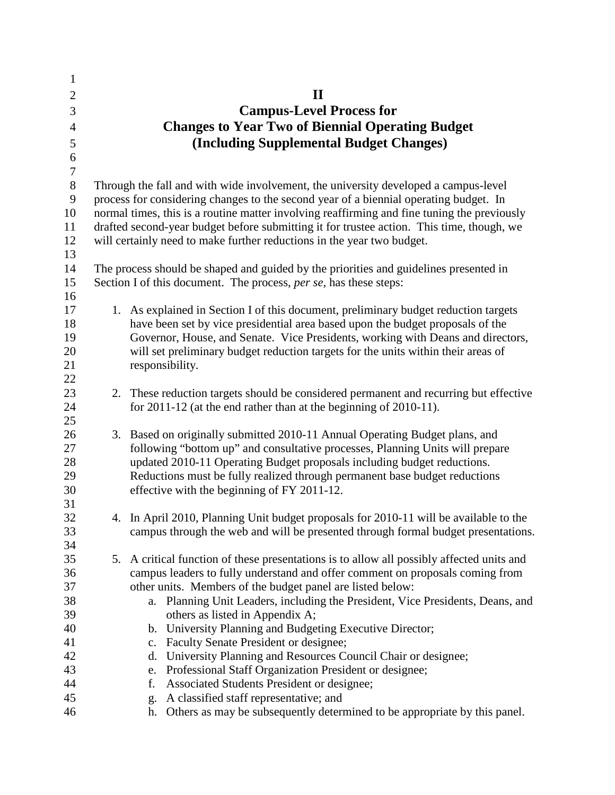| $\mathbf{1}$     |    |                                                                                                                                                            |
|------------------|----|------------------------------------------------------------------------------------------------------------------------------------------------------------|
| $\overline{2}$   |    | $\mathbf{I}$                                                                                                                                               |
| 3                |    | <b>Campus-Level Process for</b>                                                                                                                            |
| $\overline{4}$   |    | <b>Changes to Year Two of Biennial Operating Budget</b>                                                                                                    |
| 5                |    | (Including Supplemental Budget Changes)                                                                                                                    |
| 6                |    |                                                                                                                                                            |
| $\boldsymbol{7}$ |    |                                                                                                                                                            |
| $8\,$            |    | Through the fall and with wide involvement, the university developed a campus-level                                                                        |
| 9                |    | process for considering changes to the second year of a biennial operating budget. In                                                                      |
| 10               |    | normal times, this is a routine matter involving reaffirming and fine tuning the previously                                                                |
| 11               |    | drafted second-year budget before submitting it for trustee action. This time, though, we                                                                  |
| 12               |    | will certainly need to make further reductions in the year two budget.                                                                                     |
| 13               |    |                                                                                                                                                            |
| 14               |    | The process should be shaped and guided by the priorities and guidelines presented in                                                                      |
| 15               |    | Section I of this document. The process, per se, has these steps:                                                                                          |
| 16               |    |                                                                                                                                                            |
| 17               |    | 1. As explained in Section I of this document, preliminary budget reduction targets                                                                        |
| 18               |    | have been set by vice presidential area based upon the budget proposals of the                                                                             |
| 19               |    | Governor, House, and Senate. Vice Presidents, working with Deans and directors,                                                                            |
| 20               |    | will set preliminary budget reduction targets for the units within their areas of                                                                          |
| 21               |    | responsibility.                                                                                                                                            |
| 22<br>23         |    |                                                                                                                                                            |
| 24               |    | 2. These reduction targets should be considered permanent and recurring but effective<br>for 2011-12 (at the end rather than at the beginning of 2010-11). |
| 25               |    |                                                                                                                                                            |
| 26               |    | 3. Based on originally submitted 2010-11 Annual Operating Budget plans, and                                                                                |
| 27               |    | following "bottom up" and consultative processes, Planning Units will prepare                                                                              |
| 28               |    | updated 2010-11 Operating Budget proposals including budget reductions.                                                                                    |
| 29               |    | Reductions must be fully realized through permanent base budget reductions                                                                                 |
| 30               |    | effective with the beginning of FY 2011-12.                                                                                                                |
| 31               |    |                                                                                                                                                            |
| 32               |    | 4. In April 2010, Planning Unit budget proposals for 2010-11 will be available to the                                                                      |
| 33               |    | campus through the web and will be presented through formal budget presentations.                                                                          |
| 34               |    |                                                                                                                                                            |
| 35               | 5. | A critical function of these presentations is to allow all possibly affected units and                                                                     |
| 36               |    | campus leaders to fully understand and offer comment on proposals coming from                                                                              |
| 37               |    | other units. Members of the budget panel are listed below:                                                                                                 |
| 38               |    | Planning Unit Leaders, including the President, Vice Presidents, Deans, and<br>a.                                                                          |
| 39               |    | others as listed in Appendix A;                                                                                                                            |
| 40               |    | b. University Planning and Budgeting Executive Director;                                                                                                   |
| 41               |    | Faculty Senate President or designee;<br>c.                                                                                                                |
| 42               |    | University Planning and Resources Council Chair or designee;<br>d.                                                                                         |
| 43               |    | Professional Staff Organization President or designee;<br>e.                                                                                               |
| 44<br>45         |    | Associated Students President or designee;<br>f.                                                                                                           |
| 46               |    | A classified staff representative; and<br>g.<br>Others as may be subsequently determined to be appropriate by this panel.<br>h.                            |
|                  |    |                                                                                                                                                            |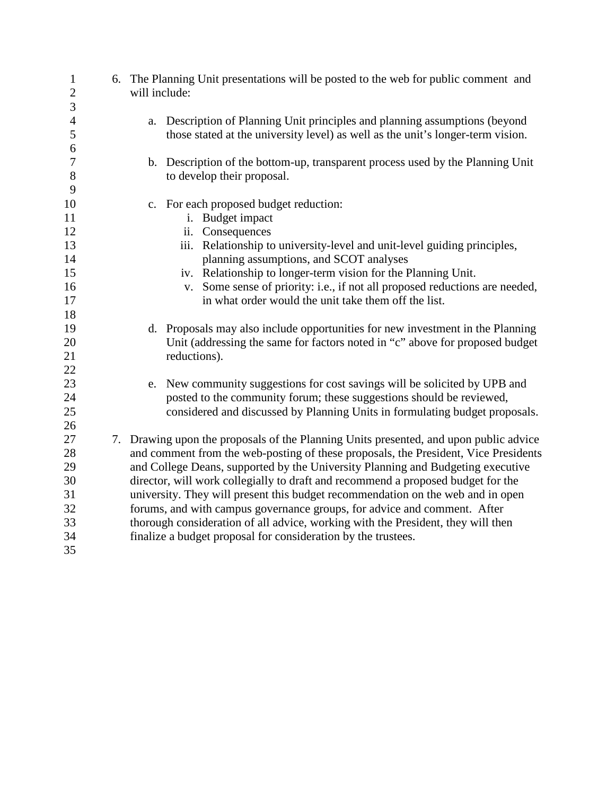| $\mathbf{1}$<br>$\overline{2}$ | 6. The Planning Unit presentations will be posted to the web for public comment and<br>will include: |  |  |  |
|--------------------------------|------------------------------------------------------------------------------------------------------|--|--|--|
| 3                              |                                                                                                      |  |  |  |
| $\overline{4}$                 | a. Description of Planning Unit principles and planning assumptions (beyond                          |  |  |  |
| 5                              | those stated at the university level) as well as the unit's longer-term vision.                      |  |  |  |
| 6                              |                                                                                                      |  |  |  |
| $\tau$                         | b. Description of the bottom-up, transparent process used by the Planning Unit                       |  |  |  |
| $8\,$                          | to develop their proposal.                                                                           |  |  |  |
| 9                              |                                                                                                      |  |  |  |
| 10                             | c. For each proposed budget reduction:                                                               |  |  |  |
| 11                             | i. Budget impact                                                                                     |  |  |  |
| 12                             | ii. Consequences                                                                                     |  |  |  |
| 13                             | iii. Relationship to university-level and unit-level guiding principles,                             |  |  |  |
| 14                             | planning assumptions, and SCOT analyses                                                              |  |  |  |
| 15                             | iv. Relationship to longer-term vision for the Planning Unit.                                        |  |  |  |
| 16                             | Some sense of priority: i.e., if not all proposed reductions are needed,<br>V.                       |  |  |  |
| 17                             | in what order would the unit take them off the list.                                                 |  |  |  |
| 18                             |                                                                                                      |  |  |  |
| 19                             | d. Proposals may also include opportunities for new investment in the Planning                       |  |  |  |
| 20                             | Unit (addressing the same for factors noted in "c" above for proposed budget                         |  |  |  |
| 21                             | reductions).                                                                                         |  |  |  |
| 22                             |                                                                                                      |  |  |  |
| 23                             | e. New community suggestions for cost savings will be solicited by UPB and                           |  |  |  |
| 24                             | posted to the community forum; these suggestions should be reviewed,                                 |  |  |  |
| 25                             | considered and discussed by Planning Units in formulating budget proposals.                          |  |  |  |
| 26                             |                                                                                                      |  |  |  |
| 27                             | 7. Drawing upon the proposals of the Planning Units presented, and upon public advice                |  |  |  |
| 28                             | and comment from the web-posting of these proposals, the President, Vice Presidents                  |  |  |  |
| 29                             | and College Deans, supported by the University Planning and Budgeting executive                      |  |  |  |
| 30                             | director, will work collegially to draft and recommend a proposed budget for the                     |  |  |  |
| 31                             | university. They will present this budget recommendation on the web and in open                      |  |  |  |
| 32                             | forums, and with campus governance groups, for advice and comment. After                             |  |  |  |
| 33                             | thorough consideration of all advice, working with the President, they will then                     |  |  |  |
| 34                             | finalize a budget proposal for consideration by the trustees.                                        |  |  |  |
| 35                             |                                                                                                      |  |  |  |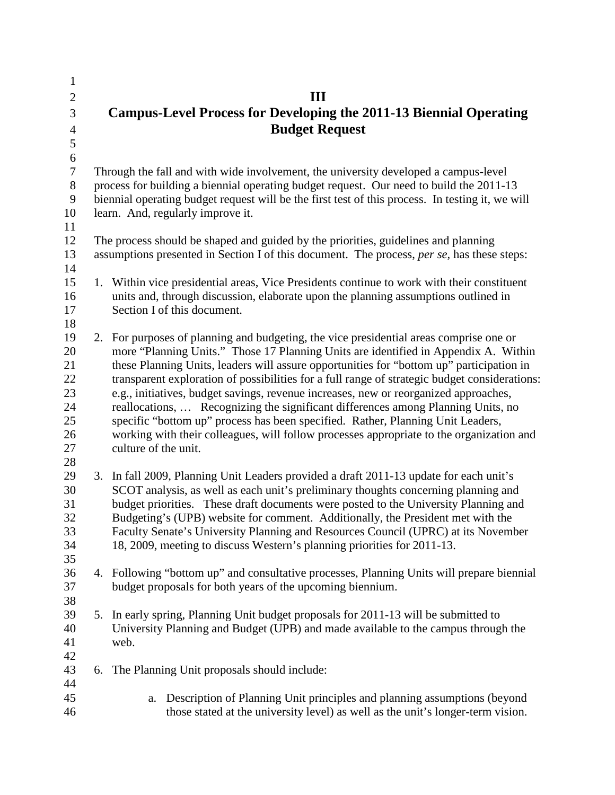| $\mathbf{1}$   |                                                                           |                                                                                                  |  |  |
|----------------|---------------------------------------------------------------------------|--------------------------------------------------------------------------------------------------|--|--|
| $\overline{2}$ |                                                                           | Ш                                                                                                |  |  |
| 3              | <b>Campus-Level Process for Developing the 2011-13 Biennial Operating</b> |                                                                                                  |  |  |
|                |                                                                           |                                                                                                  |  |  |
| $\overline{4}$ |                                                                           | <b>Budget Request</b>                                                                            |  |  |
| 5              |                                                                           |                                                                                                  |  |  |
| 6              |                                                                           |                                                                                                  |  |  |
| $\overline{7}$ |                                                                           | Through the fall and with wide involvement, the university developed a campus-level              |  |  |
| 8              |                                                                           | process for building a biennial operating budget request. Our need to build the 2011-13          |  |  |
| 9              |                                                                           | biennial operating budget request will be the first test of this process. In testing it, we will |  |  |
| 10             |                                                                           | learn. And, regularly improve it.                                                                |  |  |
| 11             |                                                                           |                                                                                                  |  |  |
| 12             |                                                                           | The process should be shaped and guided by the priorities, guidelines and planning               |  |  |
| 13             |                                                                           | assumptions presented in Section I of this document. The process, per se, has these steps:       |  |  |
| 14             |                                                                           |                                                                                                  |  |  |
| 15             |                                                                           | 1. Within vice presidential areas, Vice Presidents continue to work with their constituent       |  |  |
| 16             |                                                                           | units and, through discussion, elaborate upon the planning assumptions outlined in               |  |  |
| 17             |                                                                           | Section I of this document.                                                                      |  |  |
| 18             |                                                                           |                                                                                                  |  |  |
| 19             |                                                                           | 2. For purposes of planning and budgeting, the vice presidential areas comprise one or           |  |  |
| 20             |                                                                           | more "Planning Units." Those 17 Planning Units are identified in Appendix A. Within              |  |  |
| 21             |                                                                           | these Planning Units, leaders will assure opportunities for "bottom up" participation in         |  |  |
| 22             |                                                                           | transparent exploration of possibilities for a full range of strategic budget considerations:    |  |  |
| 23             |                                                                           | e.g., initiatives, budget savings, revenue increases, new or reorganized approaches,             |  |  |
| 24             |                                                                           | reallocations,  Recognizing the significant differences among Planning Units, no                 |  |  |
| 25             |                                                                           | specific "bottom up" process has been specified. Rather, Planning Unit Leaders,                  |  |  |
| 26             |                                                                           | working with their colleagues, will follow processes appropriate to the organization and         |  |  |
| 27             |                                                                           | culture of the unit.                                                                             |  |  |
| 28             |                                                                           |                                                                                                  |  |  |
| 29             | 3.                                                                        | In fall 2009, Planning Unit Leaders provided a draft 2011-13 update for each unit's              |  |  |
| 30             |                                                                           | SCOT analysis, as well as each unit's preliminary thoughts concerning planning and               |  |  |
| 31             |                                                                           | budget priorities. These draft documents were posted to the University Planning and              |  |  |
| 32             |                                                                           | Budgeting's (UPB) website for comment. Additionally, the President met with the                  |  |  |
| 33             |                                                                           | Faculty Senate's University Planning and Resources Council (UPRC) at its November                |  |  |
| 34<br>35       |                                                                           | 18, 2009, meeting to discuss Western's planning priorities for 2011-13.                          |  |  |
| 36             |                                                                           | 4. Following "bottom up" and consultative processes, Planning Units will prepare biennial        |  |  |
| 37             |                                                                           | budget proposals for both years of the upcoming biennium.                                        |  |  |
|                |                                                                           |                                                                                                  |  |  |
| 38             | 5.                                                                        | In early spring, Planning Unit budget proposals for 2011-13 will be submitted to                 |  |  |
| 39<br>40       |                                                                           | University Planning and Budget (UPB) and made available to the campus through the                |  |  |
| 41             |                                                                           | web.                                                                                             |  |  |
| 42             |                                                                           |                                                                                                  |  |  |
| 43             |                                                                           | The Planning Unit proposals should include:                                                      |  |  |
| 44             | 6.                                                                        |                                                                                                  |  |  |
| 45             |                                                                           | Description of Planning Unit principles and planning assumptions (beyond<br>a.                   |  |  |
| 46             |                                                                           | those stated at the university level) as well as the unit's longer-term vision.                  |  |  |
|                |                                                                           |                                                                                                  |  |  |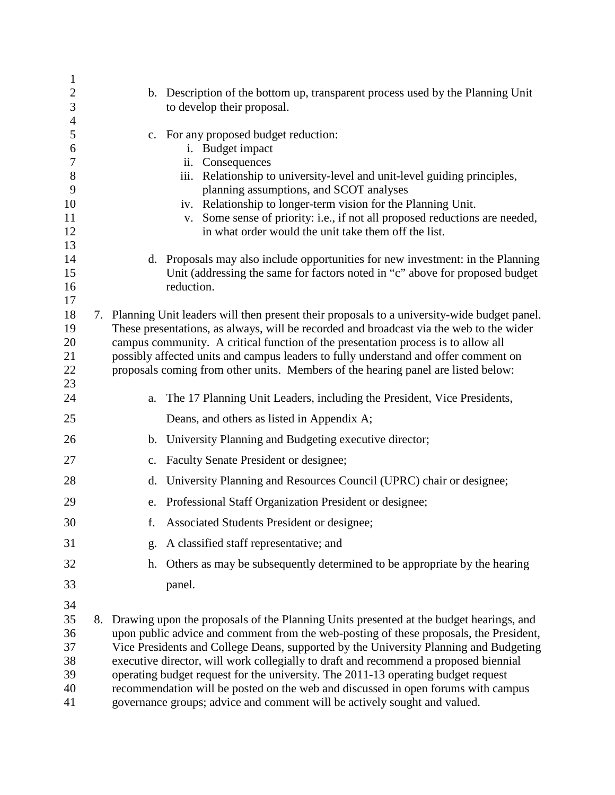| $\mathbf{1}$                                 |                                                                                                                                                                                                                                                                                                                                                                                                                                                                                                                                                                                                                             |
|----------------------------------------------|-----------------------------------------------------------------------------------------------------------------------------------------------------------------------------------------------------------------------------------------------------------------------------------------------------------------------------------------------------------------------------------------------------------------------------------------------------------------------------------------------------------------------------------------------------------------------------------------------------------------------------|
| $\sqrt{2}$<br>$\mathfrak{Z}$                 | b. Description of the bottom up, transparent process used by the Planning Unit<br>to develop their proposal.                                                                                                                                                                                                                                                                                                                                                                                                                                                                                                                |
| $\overline{4}$                               |                                                                                                                                                                                                                                                                                                                                                                                                                                                                                                                                                                                                                             |
| 5<br>6<br>$\boldsymbol{7}$                   | c. For any proposed budget reduction:<br>i. Budget impact<br>ii. Consequences                                                                                                                                                                                                                                                                                                                                                                                                                                                                                                                                               |
| 8<br>9<br>10<br>11<br>12<br>13               | iii. Relationship to university-level and unit-level guiding principles,<br>planning assumptions, and SCOT analyses<br>iv. Relationship to longer-term vision for the Planning Unit.<br>Some sense of priority: i.e., if not all proposed reductions are needed,<br>V.<br>in what order would the unit take them off the list.                                                                                                                                                                                                                                                                                              |
| 14<br>15<br>16<br>17                         | d. Proposals may also include opportunities for new investment: in the Planning<br>Unit (addressing the same for factors noted in "c" above for proposed budget<br>reduction.                                                                                                                                                                                                                                                                                                                                                                                                                                               |
| 18<br>19<br>20<br>21<br>22<br>23             | 7. Planning Unit leaders will then present their proposals to a university-wide budget panel.<br>These presentations, as always, will be recorded and broadcast via the web to the wider<br>campus community. A critical function of the presentation process is to allow all<br>possibly affected units and campus leaders to fully understand and offer comment on<br>proposals coming from other units. Members of the hearing panel are listed below:                                                                                                                                                                   |
| 24                                           | The 17 Planning Unit Leaders, including the President, Vice Presidents,<br>a.                                                                                                                                                                                                                                                                                                                                                                                                                                                                                                                                               |
| 25                                           | Deans, and others as listed in Appendix A;                                                                                                                                                                                                                                                                                                                                                                                                                                                                                                                                                                                  |
| 26                                           | b. University Planning and Budgeting executive director;                                                                                                                                                                                                                                                                                                                                                                                                                                                                                                                                                                    |
| 27                                           | c. Faculty Senate President or designee;                                                                                                                                                                                                                                                                                                                                                                                                                                                                                                                                                                                    |
| 28                                           | University Planning and Resources Council (UPRC) chair or designee;<br>d.                                                                                                                                                                                                                                                                                                                                                                                                                                                                                                                                                   |
| 29                                           | e. Professional Staff Organization President or designee;                                                                                                                                                                                                                                                                                                                                                                                                                                                                                                                                                                   |
| 30                                           | f. Associated Students President or designee;                                                                                                                                                                                                                                                                                                                                                                                                                                                                                                                                                                               |
| 31                                           | A classified staff representative; and<br>g.                                                                                                                                                                                                                                                                                                                                                                                                                                                                                                                                                                                |
| 32                                           | Others as may be subsequently determined to be appropriate by the hearing<br>h.                                                                                                                                                                                                                                                                                                                                                                                                                                                                                                                                             |
| 33                                           | panel.                                                                                                                                                                                                                                                                                                                                                                                                                                                                                                                                                                                                                      |
| 34<br>35<br>36<br>37<br>38<br>39<br>40<br>41 | 8. Drawing upon the proposals of the Planning Units presented at the budget hearings, and<br>upon public advice and comment from the web-posting of these proposals, the President,<br>Vice Presidents and College Deans, supported by the University Planning and Budgeting<br>executive director, will work collegially to draft and recommend a proposed biennial<br>operating budget request for the university. The 2011-13 operating budget request<br>recommendation will be posted on the web and discussed in open forums with campus<br>governance groups; advice and comment will be actively sought and valued. |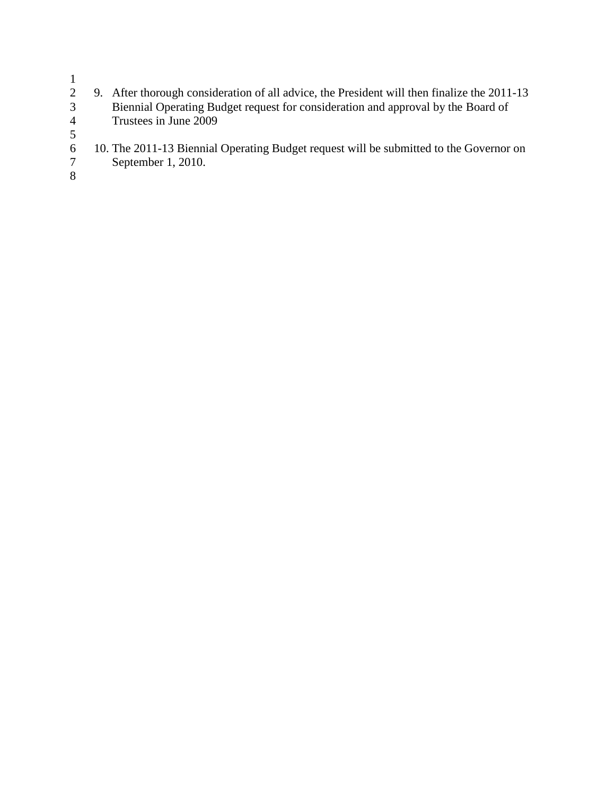$\frac{1}{2}$ 

- 2 9. After thorough consideration of all advice, the President will then finalize the 2011-13 3 Biennial Operating Budget request for consideration and approval by the Board of 4 Trustees in June 2009  $\frac{5}{6}$
- 6 10. The 2011-13 Biennial Operating Budget request will be submitted to the Governor on
	- September 1, 2010.
- 8